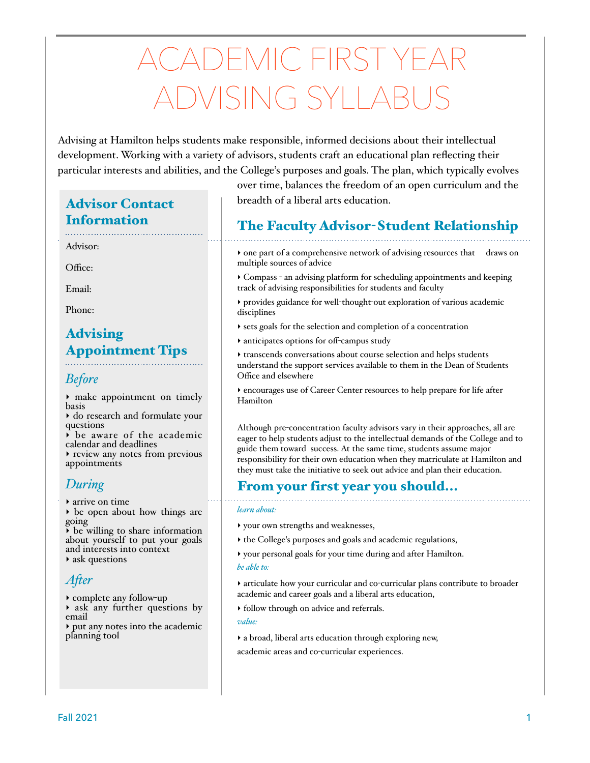# CADEMIC FIRST YEA DVISING SYLLA

Advising at Hamilton helps students make responsible, informed decisions about their intellectual development. Working with a variety of advisors, students craft an educational plan reflecting their particular interests and abilities, and the College's purposes and goals. The plan, which typically evolves

# Advisor Contact Information

# Advisor:

Office:

Email:

Phone:

# Advising Appointment Tips

## *Before*

‣ make appointment on timely basis

‣ do research and formulate your questions

 $\overrightarrow{b}$  be aware of the academic calendar and deadlines

‣ review any notes from previous appointments

# *During*

‣ arrive on time

‣ be open about how things are going

 $\rightarrow$  be willing to share information about yourself to put your goals and interests into context ‣ ask questions

# *Afer*

‣ complete any follow-up

‣ ask any further questions by email

‣ put any notes into the academic planning tool

over time, balances the freedom of an open curriculum and the breadth of a liberal arts education.

# The Faculty Advisor-Student Relationship

‣ one part of a comprehensive network of advising resources that draws on multiple sources of advice

‣ Compass - an advising platform for scheduling appointments and keeping track of advising responsibilities for students and faculty

‣ provides guidance for well-thought-out exploration of various academic disciplines

- ‣ sets goals for the selection and completion of a concentration
- ‣ anticipates options for off-campus study

‣ transcends conversations about course selection and helps students understand the support services available to them in the Dean of Students Office and elsewhere

‣ encourages use of Career Center resources to help prepare for life after Hamilton

Although pre-concentration faculty advisors vary in their approaches, all are eager to help students adjust to the intellectual demands of the College and to guide them toward success. At the same time, students assume major responsibility for their own education when they matriculate at Hamilton and they must take the initiative to seek out advice and plan their education.

# From your first year you should...

#### *learn about:*

- ‣ your own strengths and weaknesses,
- ‣ the College's purposes and goals and academic regulations,
- ‣ your personal goals for your time during and after Hamilton.

#### *be able to:*

‣ articulate how your curricular and co-curricular plans contribute to broader academic and career goals and a liberal arts education,

‣ follow through on advice and referrals.

*value:*

‣ a broad, liberal arts education through exploring new, academic areas and co-curricular experiences.